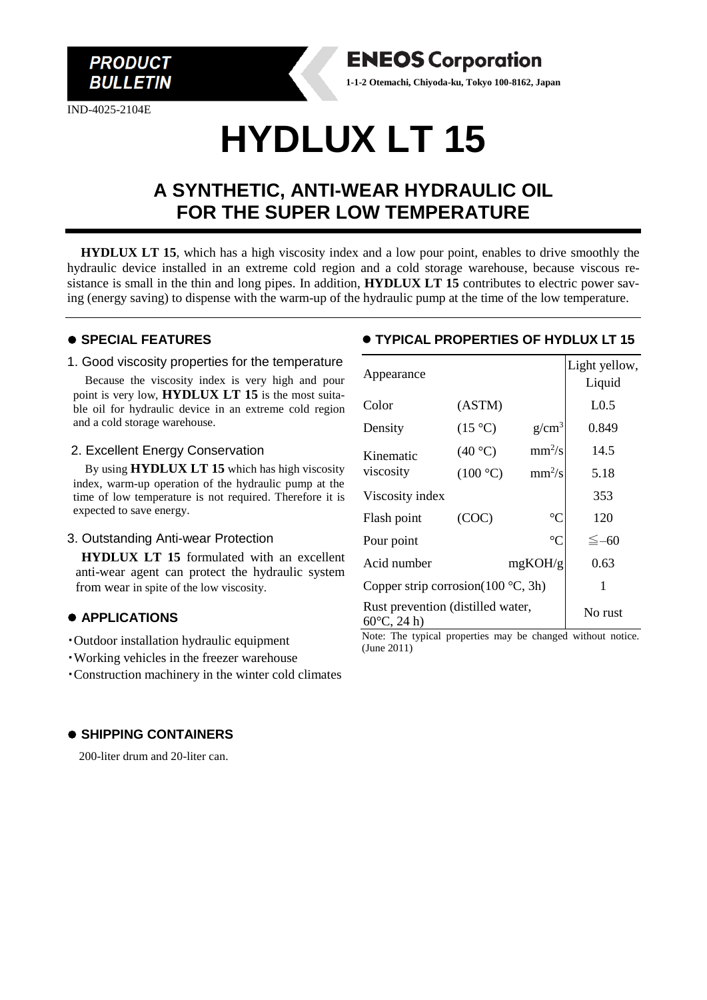

IND-4025-2104E



# **HYDLUX LT 15**

## **A SYNTHETIC, ANTI-WEAR HYDRAULIC OIL FOR THE SUPER LOW TEMPERATURE**

**HYDLUX LT 15**, which has a high viscosity index and a low pour point, enables to drive smoothly the hydraulic device installed in an extreme cold region and a cold storage warehouse, because viscous resistance is small in the thin and long pipes. In addition, **HYDLUX LT 15** contributes to electric power saving (energy saving) to dispense with the warm-up of the hydraulic pump at the time of the low temperature.

#### ⚫ **SPECIAL FEATURES**

#### 1. Good viscosity properties for the temperature

Because the viscosity index is very high and pour point is very low, **HYDLUX LT 15** is the most suitable oil for hydraulic device in an extreme cold region and a cold storage warehouse.

#### 2. Excellent Energy Conservation

By using **HYDLUX LT 15** which has high viscosity index, warm-up operation of the hydraulic pump at the time of low temperature is not required. Therefore it is expected to save energy.

#### 3. Outstanding Anti-wear Protection

 **HYDLUX LT 15** formulated with an excellent anti-wear agent can protect the hydraulic system from wear in spite of the low viscosity.

#### ⚫ **APPLICATIONS**

- ・Outdoor installation hydraulic equipment
- ・Working vehicles in the freezer warehouse
- ・Construction machinery in the winter cold climates

#### ⚫ **SHIPPING CONTAINERS**

200-liter drum and 20-liter can.

#### ⚫ **TYPICAL PROPERTIES OF HYDLUX LT 15**

| Appearance                                                 |                  |                 | Light yellow,<br>Liquid |
|------------------------------------------------------------|------------------|-----------------|-------------------------|
| Color                                                      | (ASTM)           |                 | L <sub>0.5</sub>        |
| Density                                                    | $(15 \degree C)$ | $g/cm^3$        | 0.849                   |
| Kinematic<br>viscosity                                     | (40 °C)          | $mm^2/s$        | 14.5                    |
|                                                            | (100 °C)         | $mm^2/s$        | 5.18                    |
| Viscosity index                                            |                  |                 | 353                     |
| Flash point                                                | (COC)            | $\rm ^{\circ}C$ | 120                     |
| Pour point                                                 |                  | $\rm ^{\circ}C$ | $\leq -60$              |
| Acid number                                                |                  | mgKOH/g         | 0.63                    |
| Copper strip corrosion( $100^{\circ}$ C, 3h)               |                  |                 | 1                       |
| Rust prevention (distilled water,<br>$60^{\circ}$ C, 24 h) |                  |                 | No rust                 |

Note: The typical properties may be changed without notice. (June 2011)